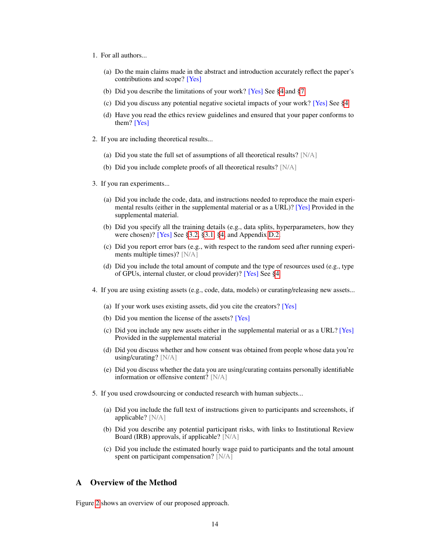- 1. For all authors...
	- (a) Do the main claims made in the abstract and introduction accurately reflect the paper's contributions and scope? [Yes]
	- (b) Did you describe the limitations of your work? [Yes] See §4 and §7
	- (c) Did you discuss any potential negative societal impacts of your work? [Yes] See §4
	- (d) Have you read the ethics review guidelines and ensured that your paper conforms to them? [Yes]
- 2. If you are including theoretical results...
	- (a) Did you state the full set of assumptions of all theoretical results? [N/A]
	- (b) Did you include complete proofs of all theoretical results? [N/A]
- 3. If you ran experiments...
	- (a) Did you include the code, data, and instructions needed to reproduce the main experimental results (either in the supplemental material or as a URL)? [Yes] Provided in the supplemental material.
	- (b) Did you specify all the training details (e.g., data splits, hyperparameters, how they were chosen)? [Yes] See §3.2, §3.1, §4, and Appendix [D.2.](#page-3-0)
	- (c) Did you report error bars (e.g., with respect to the random seed after running experiments multiple times)? [N/A]
	- (d) Did you include the total amount of compute and the type of resources used (e.g., type of GPUs, internal cluster, or cloud provider)? [Yes] See §4
- 4. If you are using existing assets (e.g., code, data, models) or curating/releasing new assets...
	- (a) If your work uses existing assets, did you cite the creators? [Yes]
	- (b) Did you mention the license of the assets? [Yes]
	- (c) Did you include any new assets either in the supplemental material or as a URL? [Yes] Provided in the supplemental material
	- (d) Did you discuss whether and how consent was obtained from people whose data you're using/curating? [N/A]
	- (e) Did you discuss whether the data you are using/curating contains personally identifiable information or offensive content? [N/A]
- 5. If you used crowdsourcing or conducted research with human subjects...
	- (a) Did you include the full text of instructions given to participants and screenshots, if applicable? [N/A]
	- (b) Did you describe any potential participant risks, with links to Institutional Review Board (IRB) approvals, if applicable? [N/A]
	- (c) Did you include the estimated hourly wage paid to participants and the total amount spent on participant compensation? [N/A]

## A Overview of the Method

Figure [2](#page-1-0) shows an overview of our proposed approach.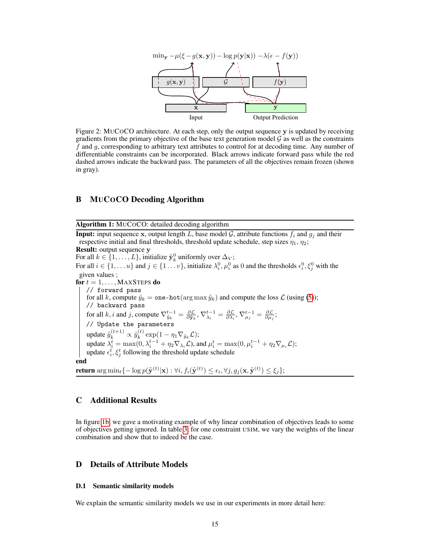<span id="page-1-0"></span>

Figure 2: MUCOCO architecture. At each step, only the output sequence y is updated by receiving gradients from the primary objective of the base text generation model  $\mathcal G$  as well as the constraints  $f$  and  $g$ , corresponding to arbitrary text attributes to control for at decoding time. Any number of differentiable constraints can be incorporated. Black arrows indicate forward pass while the red dashed arrows indicate the backward pass. The parameters of all the objectives remain frozen (shown in gray).

#### B MUCOCO Decoding Algorithm

Algorithm 1: MUCOCO: detailed decoding algorithm

**Input:** input sequence x, output length L, base model G, attribute functions  $f_i$  and  $g_j$  and their respective initial and final thresholds, threshold update schedule, step sizes  $\eta_1$ ,  $\eta_2$ ; Result: output sequence y For all  $k \in \{1, \ldots, L\}$ , initialize  $\tilde{\mathbf{y}}_k^0$  uniformly over  $\Delta_V$ ; For all  $i \in \{1, ..., u\}$  and  $j \in \{1...v\}$ , initialize  $\lambda_i^0, \mu_i^0$  as 0 and the thresholds  $\epsilon_i^0, \xi_j^0$  with the given values ; for  $t = 1, \ldots,$  MAXSTEPS do // forward pass for all k, compute  $\hat{y}_k = \text{one-hot}(\arg \max \tilde{y}_k)$  and compute the loss  $\mathcal{L}$  (using (5)); // backward pass for all k, i and j, compute  $\nabla_{\tilde{y}_k}^{t-1} = \frac{\partial \mathcal{L}}{\partial \tilde{y}_k}$ ,  $\nabla_{\lambda_i}^{t-1} = \frac{\partial \mathcal{L}}{\partial \lambda_i}$ ,  $\nabla_{\mu_j}^{t-1} = \frac{\partial \mathcal{L}}{\partial \mu_j}$ ; // Update the parameters update  $\tilde{y}_k^{(t+1)} \propto \tilde{y}_k^{(t)}$  $\int_k^{(t)} \exp(1 - \eta_1 \nabla_{\tilde{y}_k} \mathcal{L});$ update  $\lambda_i^t = \max(0, \lambda_i^{t-1} + \eta_2 \nabla_{\lambda_i} \mathcal{L})$ , and  $\mu_i^t = \max(0, \mu_i^{t-1} + \eta_2 \nabla_{\mu_i} \mathcal{L})$ ; update  $\epsilon_i^t$ ,  $\xi_j^t$  following the threshold update schedule end return  $\argmin_t \{ -\log p(\tilde{\mathbf{y}}^{(t)}|\mathbf{x}): \forall i, f_i(\tilde{\mathbf{y}}^{(t)}) \leq \epsilon_i, \forall j, g_j(\mathbf{x}, \tilde{\mathbf{y}}^{(t)}) \leq \xi_j \};$ 

#### <span id="page-1-1"></span>C Additional Results

In figure 1b, we gave a motivating example of why linear combination of objectives leads to some of objectives getting ignored. In table [3,](#page-2-0) for one constraint USIM, we vary the weights of the linear combination and show that to indeed be the case.

#### D Details of Attribute Models

#### D.1 Semantic similarity models

We explain the semantic similarity models we use in our experiments in more detail here: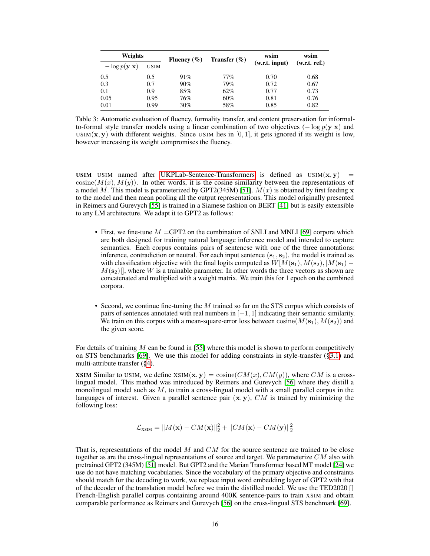<span id="page-2-0"></span>

| Weights                          |             | Fluency $(\% )$ | Transfer $(\% )$ | wsim           | wsim          |
|----------------------------------|-------------|-----------------|------------------|----------------|---------------|
| $-\log p(\mathbf{y} \mathbf{x})$ | <b>USIM</b> |                 |                  | (w.r.t. input) | (w.r.t. ref.) |
| 0.5                              | 0.5         | 91%             | 77%              | 0.70           | 0.68          |
| 0.3                              | 0.7         | $90\%$          | 79%              | 0.72           | 0.67          |
| 0.1                              | 0.9         | 85%             | 62%              | 0.77           | 0.73          |
| 0.05                             | 0.95        | 76%             | 60%              | 0.81           | 0.76          |
| 0.01                             | 0.99        | 30%             | 58%              | 0.85           | 0.82          |

Table 3: Automatic evaluation of fluency, formality transfer, and content preservation for informalto-formal style transfer models using a linear combination of two objectives  $(-\log p(y|x))$  and USIM( $\mathbf{x}, \mathbf{y}$ ) with different weights. Since USIM lies in [0, 1], it gets ignored if its weight is low, however increasing its weight compromises the fluency.

USIM USIM named after UKPLab-Sentence-Transformers is defined as  $USIM(x, y)$  $cosine(M(x), M(y))$ . In other words, it is the cosine similarity between the representations of a model M. This model is parameterized by GPT2(345M) [51].  $M(x)$  is obtained by first feeding x to the model and then mean pooling all the output representations. This model originally presented in Reimers and Gurevych [55] is trained in a Siamese fashion on BERT [41] but is easily extensible to any LM architecture. We adapt it to GPT2 as follows:

- First, we fine-tune  $M = GPT2$  on the combination of SNLI and MNLI [69] corpora which are both designed for training natural language inference model and intended to capture semantics. Each corpus contains pairs of sentencse with one of the three annotations: inference, contradiction or neutral. For each input sentence  $(s_1, s_2)$ , the model is trained as with classification objective with the final logits computed as  $W[M(\mathbf{s}_1), M(\mathbf{s}_2), |M(\mathbf{s}_1) M(s_2)$ , where W is a trainable parameter. In other words the three vectors as shown are concatenated and multiplied with a weight matrix. We train this for 1 epoch on the combined corpora.
- Second, we continue fine-tuning the M trained so far on the STS corpus which consists of pairs of sentences annotated with real numbers in  $[-1, 1]$  indicating their semantic similarity. We train on this corpus with a mean-square-error loss between  $\cosine(M(s_1), M(s_2))$  and the given score.

For details of training  $M$  can be found in [55] where this model is shown to perform competitively on STS benchmarks [69]. We use this model for adding constraints in style-transfer (§3.1) and multi-attribute transfer (§4).

XSIM Similar to USIM, we define  $XSIM(\mathbf{x}, \mathbf{y}) = \text{cosine}(CM(x), CM(y))$ , where CM is a crosslingual model. This method was introduced by Reimers and Gurevych [56] where they distill a monolingual model such as  $M$ , to train a cross-lingual model with a small parallel corpus in the languages of interest. Given a parallel sentence pair  $(x, y)$ , CM is trained by minimizing the following loss:

$$
\mathcal{L}_{\text{XSIM}} = ||M(\mathbf{x}) - CM(\mathbf{x})||_2^2 + ||CM(\mathbf{x}) - CM(\mathbf{y})||_2^2
$$

That is, representations of the model  $M$  and  $CM$  for the source sentence are trained to be close together as are the cross-lingual representations of source and target. We parameterize  $CM$  also with pretrained GPT2 (345M) [51] model. But GPT2 and the Marian Transformer based MT model [24] we use do not have matching vocabularies. Since the vocabulary of the primary objective and constraints should match for the decoding to work, we replace input word embedding layer of GPT2 with that of the decoder of the translation model before we train the distilled model. We use the TED2020 [] French-English parallel corpus containing around 400K sentence-pairs to train XSIM and obtain comparable performance as Reimers and Gurevych [56] on the cross-lingual STS benchmark [69].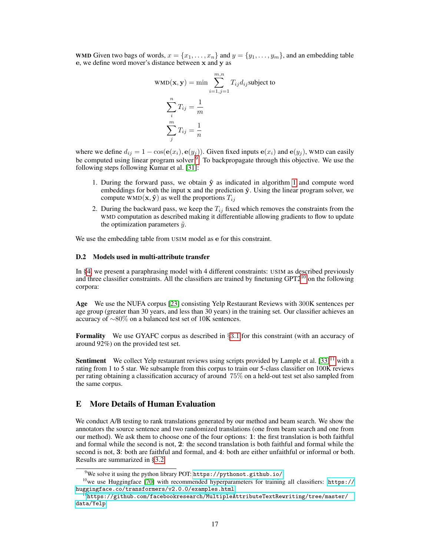WMD Given two bags of words,  $x = \{x_1, \ldots, x_n\}$  and  $y = \{y_1, \ldots, y_m\}$ , and an embedding table e, we define word mover's distance between x and y as

$$
WMD(\mathbf{x}, \mathbf{y}) = \min \sum_{i=1, j=1}^{m, n} T_{ij} d_{ij}
$$
subject to  

$$
\sum_{i=1, j=1}^{n} T_{ij} = \frac{1}{m}
$$

$$
\sum_{j=1}^{m} T_{ij} = \frac{1}{n}
$$

where we define  $d_{ij} = 1 - \cos(e(x_i), e(y_j))$ . Given fixed inputs  $e(x_i)$  and  $e(y_j)$ , WMD can easily be computed using linear program solver <sup>[9](#page-3-1)</sup>. To backpropagate through this objective. We use the following steps following Kumar et al. [31]:

- 1. During the forward pass, we obtain  $\hat{y}$  as indicated in algorithm [1](#page-1-1) and compute word embeddings for both the input x and the prediction  $\hat{y}$ . Using the linear program solver, we compute WMD( $\mathbf{x}, \hat{\mathbf{y}}$ ) as well the proportions  $T_{ij}$
- 2. During the backward pass, we keep the  $T_{ij}$  fixed which removes the constraints from the WMD computation as described making it differentiable allowing gradients to flow to update the optimization parameters  $\tilde{y}$ .

We use the embedding table from USIM model as e for this constraint.

#### <span id="page-3-0"></span>D.2 Models used in multi-attribute transfer

In §4, we present a paraphrasing model with 4 different constraints: USIM as described previously and three classifier constraints. All the classifiers are trained by finetuning GPT2<sup>[10](#page-3-2)</sup> on the following corpora:

Age We use the NUFA corpus [23] consisting Yelp Restaurant Reviews with 300K sentences per age group (greater than 30 years, and less than 30 years) in the training set. Our classifier achieves an accuracy of ∼80% on a balanced test set of 10K sentences.

Formality We use GYAFC corpus as described in §3.1 for this constraint (with an accuracy of around 92%) on the provided test set.

**Sentiment** We collect Yelp restaurant reviews using scripts provided by Lample et al.  $[33]$ <sup>[11](#page-3-3)</sup> with a rating from 1 to 5 star. We subsample from this corpus to train our 5-class classifier on 100K reviews per rating obtaining a classification accuracy of around 75% on a held-out test set also sampled from the same corpus.

#### E More Details of Human Evaluation

We conduct A/B testing to rank translations generated by our method and beam search. We show the annotators the source sentence and two randomized translations (one from beam search and one from our method). We ask them to choose one of the four options: 1: the first translation is both faithful and formal while the second is not, 2: the second translation is both faithful and formal while the second is not, 3: both are faithful and formal, and 4: both are either unfaithful or informal or both. Results are summarized in §3.2.

<span id="page-3-2"></span><span id="page-3-1"></span><sup>9</sup>We solve it using the python library POT: <https://pythonot.github.io/>

<sup>&</sup>lt;sup>10</sup>we use Huggingface [70] with recommended hyperparameters for training all classifiers: [https://](https://huggingface.co/transformers/v2.0.0/examples.html) [huggingface.co/transformers/v2.0.0/examples.html](https://huggingface.co/transformers/v2.0.0/examples.html)

<span id="page-3-3"></span> $^{11}$ [https://github.com/facebookresearch/MultipleAttributeTextRewriting/tree/master/](https://github.com/facebookresearch/MultipleAttributeTextRewriting/tree/master/data/Yelp) [data/Yelp](https://github.com/facebookresearch/MultipleAttributeTextRewriting/tree/master/data/Yelp)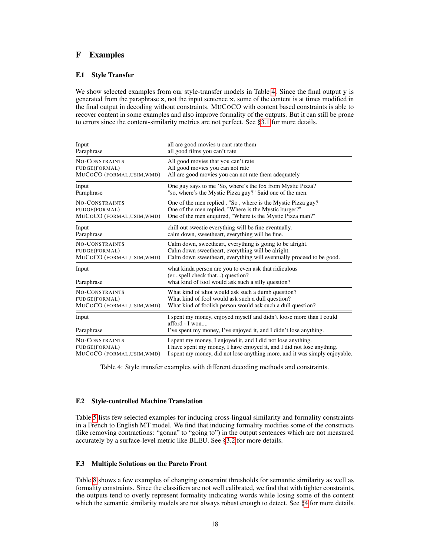# F Examples

### F.1 Style Transfer

We show selected examples from our style-transfer models in Table [4.](#page-4-0) Since the final output y is generated from the paraphrase z, not the input sentence x, some of the content is at times modified in the final output in decoding without constraints. MUCOCO with content based constraints is able to recover content in some examples and also improve formality of the outputs. But it can still be prone to errors since the content-similarity metrics are not perfect. See §3.1 for more details.

<span id="page-4-0"></span>

| Input                      | all are good movies u cant rate them                                                                                                                         |
|----------------------------|--------------------------------------------------------------------------------------------------------------------------------------------------------------|
| Paraphrase                 | all good films you can't rate                                                                                                                                |
| <b>NO-CONSTRAINTS</b>      | All good movies that you can't rate                                                                                                                          |
| FUDGE(FORMAL)              | All good movies you can not rate                                                                                                                             |
| MUCOCO (FORMAL, USIM, WMD) | All are good movies you can not rate them adequately                                                                                                         |
| Input                      | One guy says to me 'So, where's the fox from Mystic Pizza?                                                                                                   |
| Paraphrase                 | "so, where's the Mystic Pizza guy?" Said one of the men.                                                                                                     |
| <b>NO-CONSTRAINTS</b>      | One of the men replied, "So, where is the Mystic Pizza guy?                                                                                                  |
| FUDGE(FORMAL)              | One of the men replied, "Where is the Mystic burger?"                                                                                                        |
| MUCOCO (FORMAL, USIM, WMD) | One of the men enquired, "Where is the Mystic Pizza man?"                                                                                                    |
| Input                      | chill out sweetie everything will be fine eventually.                                                                                                        |
| Paraphrase                 | calm down, sweetheart, everything will be fine.                                                                                                              |
| <b>NO-CONSTRAINTS</b>      | Calm down, sweetheart, everything is going to be alright.                                                                                                    |
| FUDGE(FORMAL)              | Calm down sweetheart, everything will be alright.                                                                                                            |
| MUCOCO (FORMAL, USIM, WMD) | Calm down sweetheart, everything will eventually proceed to be good.                                                                                         |
| Input<br>Paraphrase        | what kinda person are you to even ask that ridiculous<br>(erspell check that) question?<br>what kind of fool would ask such a silly question?                |
| <b>NO-CONSTRAINTS</b>      | What kind of idiot would ask such a dumb question?                                                                                                           |
| FUDGE(FORMAL)              | What kind of fool would ask such a dull question?                                                                                                            |
| MUCOCO (FORMAL, USIM, WMD) | What kind of foolish person would ask such a dull question?                                                                                                  |
| Input<br>Paraphrase        | I spent my money, enjoyed myself and didn't loose more than I could<br>$afford - I$ won<br>I've spent my money, I've enjoyed it, and I didn't lose anything. |
| NO-CONSTRAINTS             | I spent my money, I enjoyed it, and I did not lose anything.                                                                                                 |
| FUDGE(FORMAL)              | I have spent my money, I have enjoyed it, and I did not lose anything.                                                                                       |
| MUCOCO (FORMAL, USIM, WMD) | I spent my money, did not lose anything more, and it was simply enjoyable.                                                                                   |

Table 4: Style transfer examples with different decoding methods and constraints.

#### F.2 Style-controlled Machine Translation

Table [5](#page-5-0) lists few selected examples for inducing cross-lingual similarity and formality constraints in a French to English MT model. We find that inducing formality modifies some of the constructs (like removing contractions: "gonna" to "going to") in the output sentences which are not measured accurately by a surface-level metric like BLEU. See §3.2 for more details.

## F.3 Multiple Solutions on the Pareto Front

Table [8](#page-6-0) shows a few examples of changing constraint thresholds for semantic similarity as well as formality constraints. Since the classifiers are not well calibrated, we find that with tighter constraints, the outputs tend to overly represent formality indicating words while losing some of the content which the semantic similarity models are not always robust enough to detect. See §4 for more details.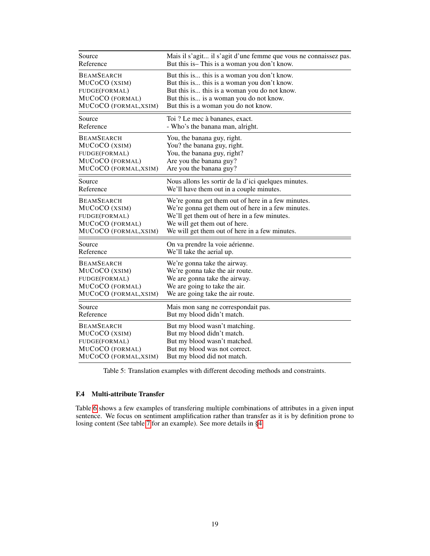<span id="page-5-0"></span>

| Source                | Mais il s'agit il s'agit d'une femme que vous ne connaissez pas. |  |
|-----------------------|------------------------------------------------------------------|--|
| Reference             | But this is–This is a woman you don't know.                      |  |
| <b>BEAMSEARCH</b>     | But this is this is a woman you don't know.                      |  |
| MUCOCO (XSIM)         | But this is this is a woman you don't know.                      |  |
| FUDGE(FORMAL)         | But this is this is a woman you do not know.                     |  |
| MUCOCO (FORMAL)       | But this is is a woman you do not know.                          |  |
| MUCOCO (FORMAL, XSIM) | But this is a woman you do not know.                             |  |
| Source                | Toi ? Le mec à bananes, exact.                                   |  |
| Reference             | - Who's the banana man, alright.                                 |  |
| <b>BEAMSEARCH</b>     | You, the banana guy, right.                                      |  |
| MUCOCO (XSIM)         | You? the banana guy, right.                                      |  |
| FUDGE(FORMAL)         | You, the banana guy, right?                                      |  |
| MUCOCO (FORMAL)       | Are you the banana guy?                                          |  |
| MUCOCO (FORMAL, XSIM) | Are you the banana guy?                                          |  |
| Source                | Nous allons les sortir de la d'ici quelques minutes.             |  |
| Reference             | We'll have them out in a couple minutes.                         |  |
| <b>BEAMSEARCH</b>     | We're gonna get them out of here in a few minutes.               |  |
| MUCOCO (XSIM)         | We're gonna get them out of here in a few minutes.               |  |
| FUDGE(FORMAL)         | We'll get them out of here in a few minutes.                     |  |
| MUCOCO (FORMAL)       | We will get them out of here.                                    |  |
| MUCOCO (FORMAL, XSIM) | We will get them out of here in a few minutes.                   |  |
| Source                | On va prendre la voie aérienne.                                  |  |
| Reference             | We'll take the aerial up.                                        |  |
| <b>BEAMSEARCH</b>     | We're gonna take the airway.                                     |  |
| MUCOCO (XSIM)         | We're gonna take the air route.                                  |  |
| FUDGE(FORMAL)         | We are gonna take the airway.                                    |  |
| MUCOCO (FORMAL)       | We are going to take the air.                                    |  |
| MUCOCO (FORMAL, XSIM) | We are going take the air route.                                 |  |
| Source                | Mais mon sang ne correspondait pas.                              |  |
| Reference             | But my blood didn't match.                                       |  |
| <b>BEAMSEARCH</b>     | But my blood wasn't matching.                                    |  |
| MUCOCO (XSIM)         | But my blood didn't match.                                       |  |
| FUDGE(FORMAL)         | But my blood wasn't matched.                                     |  |
| MUCOCO (FORMAL)       | But my blood was not correct.                                    |  |
| MUCOCO (FORMAL, XSIM) | But my blood did not match.                                      |  |

Table 5: Translation examples with different decoding methods and constraints.

#### F.4 Multi-attribute Transfer

Table [6](#page-6-1) shows a few examples of transfering multiple combinations of attributes in a given input sentence. We focus on sentiment amplification rather than transfer as it is by definition prone to losing content (See table [7](#page-6-2) for an example). See more details in §4.